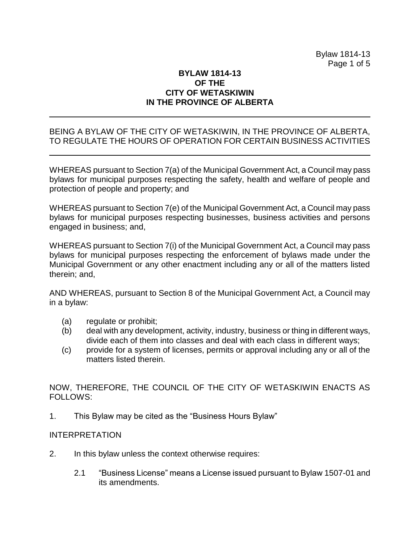### **BYLAW 1814-13 OF THE CITY OF WETASKIWIN IN THE PROVINCE OF ALBERTA**

## BEING A BYLAW OF THE CITY OF WETASKIWIN, IN THE PROVINCE OF ALBERTA, TO REGULATE THE HOURS OF OPERATION FOR CERTAIN BUSINESS ACTIVITIES

WHEREAS pursuant to Section 7(a) of the Municipal Government Act, a Council may pass bylaws for municipal purposes respecting the safety, health and welfare of people and protection of people and property; and

WHEREAS pursuant to Section 7(e) of the Municipal Government Act, a Council may pass bylaws for municipal purposes respecting businesses, business activities and persons engaged in business; and,

WHEREAS pursuant to Section 7(i) of the Municipal Government Act, a Council may pass bylaws for municipal purposes respecting the enforcement of bylaws made under the Municipal Government or any other enactment including any or all of the matters listed therein; and,

AND WHEREAS, pursuant to Section 8 of the Municipal Government Act, a Council may in a bylaw:

- (a) regulate or prohibit;
- (b) deal with any development, activity, industry, business or thing in different ways, divide each of them into classes and deal with each class in different ways;
- (c) provide for a system of licenses, permits or approval including any or all of the matters listed therein.

NOW, THEREFORE, THE COUNCIL OF THE CITY OF WETASKIWIN ENACTS AS FOLLOWS:

1. This Bylaw may be cited as the "Business Hours Bylaw"

### INTERPRETATION

- 2. In this bylaw unless the context otherwise requires:
	- 2.1 "Business License" means a License issued pursuant to Bylaw 1507-01 and its amendments.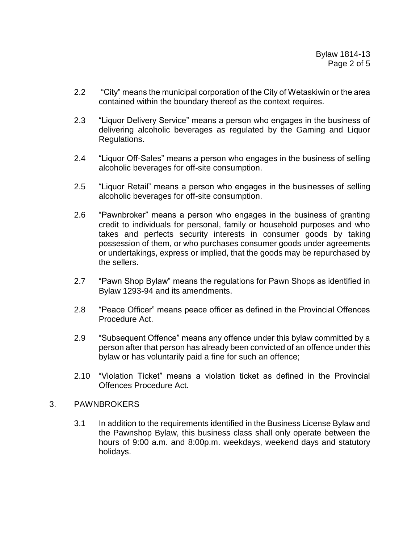- 2.2 "City" means the municipal corporation of the City of Wetaskiwin or the area contained within the boundary thereof as the context requires.
- 2.3 "Liquor Delivery Service" means a person who engages in the business of delivering alcoholic beverages as regulated by the Gaming and Liquor Regulations.
- 2.4 "Liquor Off-Sales" means a person who engages in the business of selling alcoholic beverages for off-site consumption.
- 2.5 "Liquor Retail" means a person who engages in the businesses of selling alcoholic beverages for off-site consumption.
- 2.6 "Pawnbroker" means a person who engages in the business of granting credit to individuals for personal, family or household purposes and who takes and perfects security interests in consumer goods by taking possession of them, or who purchases consumer goods under agreements or undertakings, express or implied, that the goods may be repurchased by the sellers.
- 2.7 "Pawn Shop Bylaw" means the regulations for Pawn Shops as identified in Bylaw 1293-94 and its amendments.
- 2.8 "Peace Officer" means peace officer as defined in the Provincial Offences Procedure Act.
- 2.9 "Subsequent Offence" means any offence under this bylaw committed by a person after that person has already been convicted of an offence under this bylaw or has voluntarily paid a fine for such an offence;
- 2.10 "Violation Ticket" means a violation ticket as defined in the Provincial Offences Procedure Act.

### 3. PAWNBROKERS

3.1 In addition to the requirements identified in the Business License Bylaw and the Pawnshop Bylaw, this business class shall only operate between the hours of 9:00 a.m. and 8:00p.m. weekdays, weekend days and statutory holidays.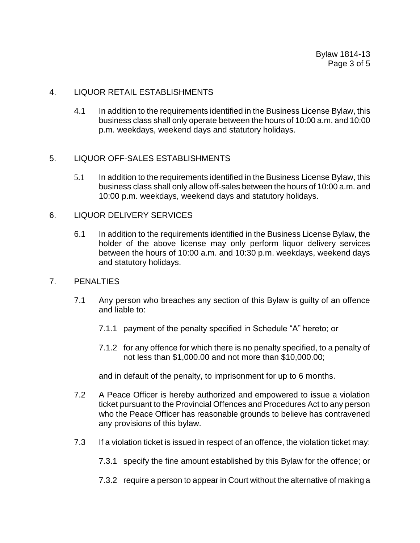#### 4. LIQUOR RETAIL ESTABLISHMENTS

4.1 In addition to the requirements identified in the Business License Bylaw, this business class shall only operate between the hours of 10:00 a.m. and 10:00 p.m. weekdays, weekend days and statutory holidays.

#### 5. LIQUOR OFF-SALES ESTABLISHMENTS

5.1 In addition to the requirements identified in the Business License Bylaw, this business class shall only allow off-sales between the hours of 10:00 a.m. and 10:00 p.m. weekdays, weekend days and statutory holidays.

### 6. LIQUOR DELIVERY SERVICES

6.1 In addition to the requirements identified in the Business License Bylaw, the holder of the above license may only perform liquor delivery services between the hours of 10:00 a.m. and 10:30 p.m. weekdays, weekend days and statutory holidays.

#### 7. PENALTIES

- 7.1 Any person who breaches any section of this Bylaw is guilty of an offence and liable to:
	- 7.1.1 payment of the penalty specified in Schedule "A" hereto; or
	- 7.1.2 for any offence for which there is no penalty specified, to a penalty of not less than \$1,000.00 and not more than \$10,000.00;

and in default of the penalty, to imprisonment for up to 6 months.

- 7.2 A Peace Officer is hereby authorized and empowered to issue a violation ticket pursuant to the Provincial Offences and Procedures Act to any person who the Peace Officer has reasonable grounds to believe has contravened any provisions of this bylaw.
- 7.3 If a violation ticket is issued in respect of an offence, the violation ticket may:
	- 7.3.1 specify the fine amount established by this Bylaw for the offence; or
	- 7.3.2 require a person to appear in Court without the alternative of making a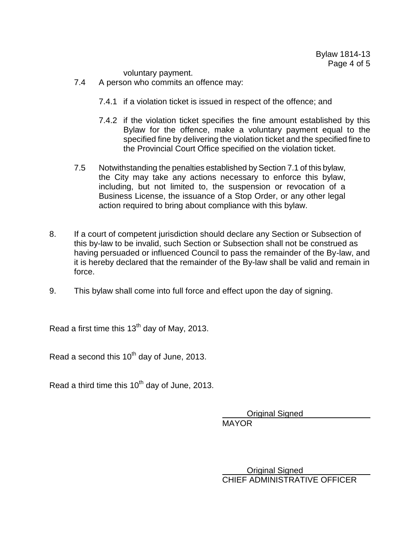voluntary payment.

- 7.4 A person who commits an offence may:
	- 7.4.1 if a violation ticket is issued in respect of the offence; and
	- 7.4.2 if the violation ticket specifies the fine amount established by this Bylaw for the offence, make a voluntary payment equal to the specified fine by delivering the violation ticket and the specified fine to the Provincial Court Office specified on the violation ticket.
- 7.5 Notwithstanding the penalties established by Section 7.1 of this bylaw, the City may take any actions necessary to enforce this bylaw, including, but not limited to, the suspension or revocation of a Business License, the issuance of a Stop Order, or any other legal action required to bring about compliance with this bylaw.
- 8. If a court of competent jurisdiction should declare any Section or Subsection of this by-law to be invalid, such Section or Subsection shall not be construed as having persuaded or influenced Council to pass the remainder of the By-law, and it is hereby declared that the remainder of the By-law shall be valid and remain in force.
- 9. This bylaw shall come into full force and effect upon the day of signing.

Read a first time this  $13<sup>th</sup>$  day of May, 2013.

Read a second this  $10^{th}$  day of June, 2013.

Read a third time this  $10^{th}$  day of June, 2013.

Original Signed MAYOR

Original Signed CHIEF ADMINISTRATIVE OFFICER